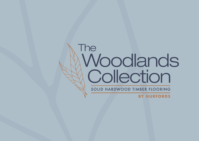## The Woodlands Collection SOLID HARDWOOD TIMBER FLOORING

**BY HURFORDS**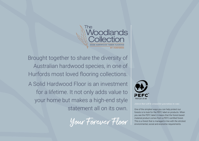

Brought together to share the diversity of Australian hardwood species, in one of Hurfords most loved flooring collections. A Solid Hardwood Floor is an investment

for a lifetime. It not only adds value to your home but makes a high-end style statement all on its own.  $\vert$  one of the simplest ways you can help protect our





*A forest that will be around for generations to come.*

forests is to look for the PEFC label on products. When you see the PEFC label, it means that the forest-based material product comes from a PEFC-certified forest. This is a forest that is managed in line with the strictest environmental, social and economic requirements.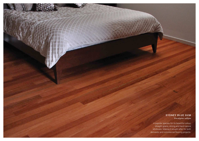#### SYDNEY BLUE GUM *Eucalyptus saligna*

A popular species for its beautiful colour, straight grains, strong and hard natural attributes. Making it sought after for both domestic and commercial flooring projects.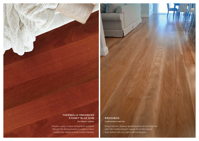#### THERMALLY ENHANCED SYDNEY BLUE GUM *Eucalyptus saligna*

Process using a unique temperature schedule through the drying process to create a colour palette that reflects a more scarlet intensity.

#### **BRUSHBOX** *Lophostemon confertus*

Brings warmth, displays appealing features and matches well with modern elegant spaces. Brush Box has an even texture with very tight interlocking grain.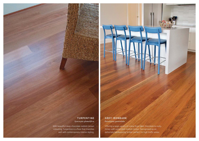#### TURPENTINE *Syncarpia glomulifera*

With beautiful deep chocolate reddish brown colouring, Turpentine is a floor that matches well with contemporary interior styling.

#### GREY IRONBARK *Eucalyptus paniculata*

Offering a large variety of colour from dark chocolate to nutty honey with some dark reddish brown. Recognised as an extremely hardwearing timber, perfect for high traffic areas.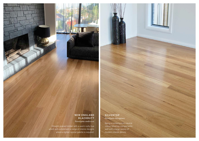#### NEW ENGLAND BLACKBUTT *Eucalyptus andrewsii*

Straight grained timber with a warm nutty hue which will compliment a range of interior designs where a lighter neutral palette is required.

#### SILVERTOP *Eucalyptus laevopinea*

Being a contemporary neutral colour, Silvertop compliments well with a large variety of modern interior decors.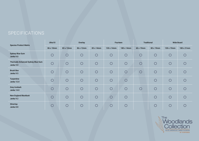### **SPECIFICATIONS**

| <b>Species Product Matrix</b>                   | Ultra10    | Overlay    |            |            | Fourteen   |            | <b>Traditional</b> |            | <b>Wide Board</b> |            |
|-------------------------------------------------|------------|------------|------------|------------|------------|------------|--------------------|------------|-------------------|------------|
|                                                 | 86 x 10mm  | 83 x 12mm  | 86 x 12mm  | 83 x 14mm  | 130 x 14mm | 180 x 14mm | 60 x 19mm          | 80 x 19mm  | 130 x 19mm        | 180 x 21mm |
| <b>Sydney Blue Gum</b><br>Janka 9.0             | $\bigcirc$ | $\bigcirc$ | $\bigcirc$ | $\bigcirc$ | $\bigcirc$ | $\bigcirc$ | $\bigcirc$         | $\bigcirc$ | $\bigcirc$        | $\bigcirc$ |
| Thermally Enhanced Sydney Blue Gum<br>Janka 9.0 | $\bigcirc$ | $\bigcirc$ | $\bigcirc$ | $\bigcirc$ | $\bigcirc$ | $\bigcirc$ | $\bigcirc$         | $\bigcirc$ | $\bigcirc$        | $\bigcirc$ |
| <b>Brush Box</b><br>Janka 9.5                   | $\bigcirc$ | $\bigcirc$ | $\bigcirc$ | $\bigcirc$ | $\bigcirc$ | $\bigcirc$ | $\bigcirc$         | $\bigcirc$ | $\bigcirc$        | $\bigcirc$ |
| Turpentine<br><b>Janka 12.0</b>                 | $\bigcirc$ | $\bigcirc$ | $\bigcirc$ | $\bigcirc$ | $\bigcirc$ | $\bigcirc$ |                    | $\bigcirc$ | $\bigcirc$        | $\bigcap$  |
| <b>Grey Ironbark</b><br>Janka 14.0              | $\bigcirc$ | $\bigcirc$ | $\bigcirc$ | $\bigcirc$ | $\bigcirc$ | $\bigcirc$ | $\bigcirc$         | $\bigcirc$ | $\bigcirc$        | $\bigcirc$ |
| <b>New England Blackbutt</b><br>Janka 9.2       | $\bigcirc$ | $\bigcirc$ | $\bigcirc$ | $\bigcirc$ | $\bigcirc$ | $\bigcirc$ |                    | $\bigcirc$ | $\bigcirc$        | $\bigcap$  |
| Silvertop<br>Janka 8.8                          | $\bigcirc$ | $\bigcirc$ | $\bigcirc$ | $\bigcirc$ | $\bigcirc$ | $\bigcirc$ |                    | $\bigcirc$ | $\bigcirc$        | $\bigcirc$ |